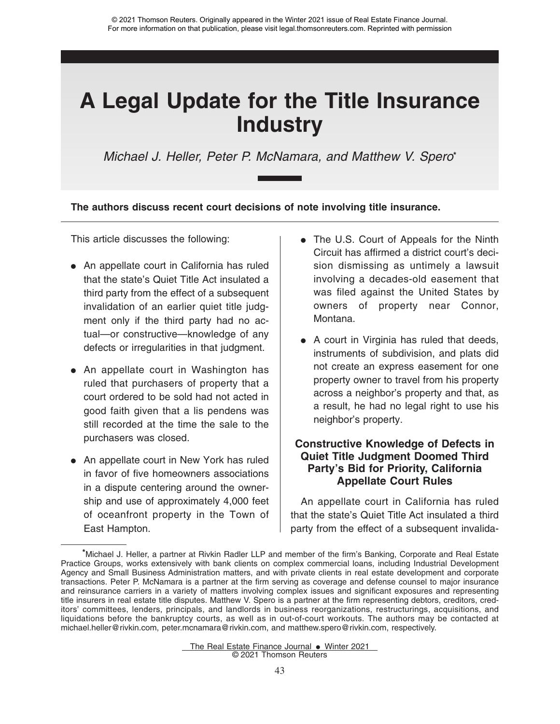Michael J. Heller, Peter P. McNamara, and Matthew V. Spero**\***

**The authors discuss recent court decisions of note involving title insurance.**

This article discusses the following:

- An appellate court in California has ruled that the state's Quiet Title Act insulated a third party from the effect of a subsequent invalidation of an earlier quiet title judgment only if the third party had no actual—or constructive—knowledge of any defects or irregularities in that judgment.
- An appellate court in Washington has ruled that purchasers of property that a court ordered to be sold had not acted in good faith given that a lis pendens was still recorded at the time the sale to the purchasers was closed.
- An appellate court in New York has ruled in favor of five homeowners associations in a dispute centering around the ownership and use of approximately 4,000 feet of oceanfront property in the Town of East Hampton.
- The U.S. Court of Appeals for the Ninth Circuit has affirmed a district court's decision dismissing as untimely a lawsuit involving a decades-old easement that was filed against the United States by owners of property near Connor, Montana.
- A court in Virginia has ruled that deeds, instruments of subdivision, and plats did not create an express easement for one property owner to travel from his property across a neighbor's property and that, as a result, he had no legal right to use his neighbor's property.

# **Constructive Knowledge of Defects in Quiet Title Judgment Doomed Third Party's Bid for Priority, California Appellate Court Rules**

An appellate court in California has ruled that the state's Quiet Title Act insulated a third party from the effect of a subsequent invalida-

The Real Estate Finance Journal  $\bullet$  Winter 2021 © 2021 Thomson Reuters

**<sup>\*</sup>**Michael J. Heller, a partner at Rivkin Radler LLP and member of the firm's Banking, Corporate and Real Estate Practice Groups, works extensively with bank clients on complex commercial loans, including Industrial Development Agency and Small Business Administration matters, and with private clients in real estate development and corporate transactions. Peter P. McNamara is a partner at the firm serving as coverage and defense counsel to major insurance and reinsurance carriers in a variety of matters involving complex issues and significant exposures and representing title insurers in real estate title disputes. Matthew V. Spero is a partner at the firm representing debtors, creditors, creditors' committees, lenders, principals, and landlords in business reorganizations, restructurings, acquisitions, and liquidations before the bankruptcy courts, as well as in out-of-court workouts. The authors may be contacted at michael.heller@rivkin.com, peter.mcnamara@rivkin.com, and matthew.spero@rivkin.com, respectively.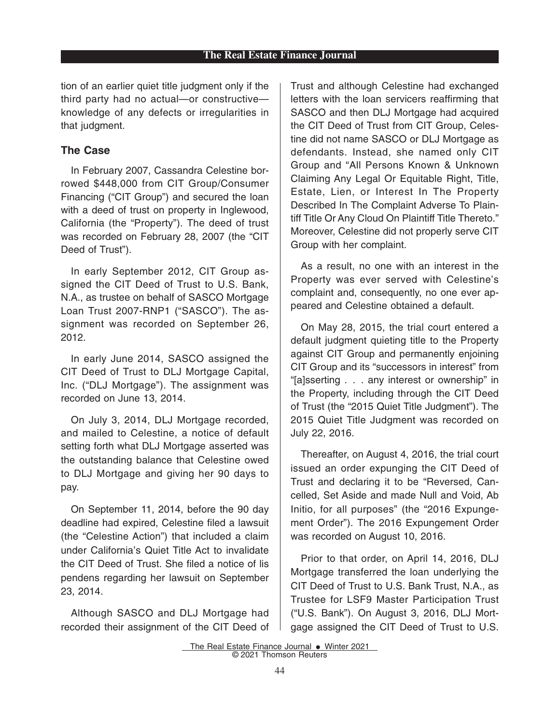tion of an earlier quiet title judgment only if the third party had no actual—or constructive knowledge of any defects or irregularities in that judgment.

# **The Case**

In February 2007, Cassandra Celestine borrowed \$448,000 from CIT Group/Consumer Financing ("CIT Group") and secured the loan with a deed of trust on property in Inglewood, California (the "Property"). The deed of trust was recorded on February 28, 2007 (the "CIT Deed of Trust").

In early September 2012, CIT Group assigned the CIT Deed of Trust to U.S. Bank, N.A., as trustee on behalf of SASCO Mortgage Loan Trust 2007-RNP1 ("SASCO"). The assignment was recorded on September 26, 2012.

In early June 2014, SASCO assigned the CIT Deed of Trust to DLJ Mortgage Capital, Inc. ("DLJ Mortgage"). The assignment was recorded on June 13, 2014.

On July 3, 2014, DLJ Mortgage recorded, and mailed to Celestine, a notice of default setting forth what DLJ Mortgage asserted was the outstanding balance that Celestine owed to DLJ Mortgage and giving her 90 days to pay.

On September 11, 2014, before the 90 day deadline had expired, Celestine filed a lawsuit (the "Celestine Action") that included a claim under California's Quiet Title Act to invalidate the CIT Deed of Trust. She filed a notice of lis pendens regarding her lawsuit on September 23, 2014.

Although SASCO and DLJ Mortgage had recorded their assignment of the CIT Deed of Trust and although Celestine had exchanged letters with the loan servicers reaffirming that SASCO and then DLJ Mortgage had acquired the CIT Deed of Trust from CIT Group, Celestine did not name SASCO or DLJ Mortgage as defendants. Instead, she named only CIT Group and "All Persons Known & Unknown Claiming Any Legal Or Equitable Right, Title, Estate, Lien, or Interest In The Property Described In The Complaint Adverse To Plaintiff Title Or Any Cloud On Plaintiff Title Thereto." Moreover, Celestine did not properly serve CIT Group with her complaint.

As a result, no one with an interest in the Property was ever served with Celestine's complaint and, consequently, no one ever appeared and Celestine obtained a default.

On May 28, 2015, the trial court entered a default judgment quieting title to the Property against CIT Group and permanently enjoining CIT Group and its "successors in interest" from "[a]sserting . . . any interest or ownership" in the Property, including through the CIT Deed of Trust (the "2015 Quiet Title Judgment"). The 2015 Quiet Title Judgment was recorded on July 22, 2016.

Thereafter, on August 4, 2016, the trial court issued an order expunging the CIT Deed of Trust and declaring it to be "Reversed, Cancelled, Set Aside and made Null and Void, Ab Initio, for all purposes" (the "2016 Expungement Order"). The 2016 Expungement Order was recorded on August 10, 2016.

Prior to that order, on April 14, 2016, DLJ Mortgage transferred the loan underlying the CIT Deed of Trust to U.S. Bank Trust, N.A., as Trustee for LSF9 Master Participation Trust ("U.S. Bank"). On August 3, 2016, DLJ Mortgage assigned the CIT Deed of Trust to U.S.

The Real Estate Finance Journal . Winter 2021 © 2021 Thomson Reuters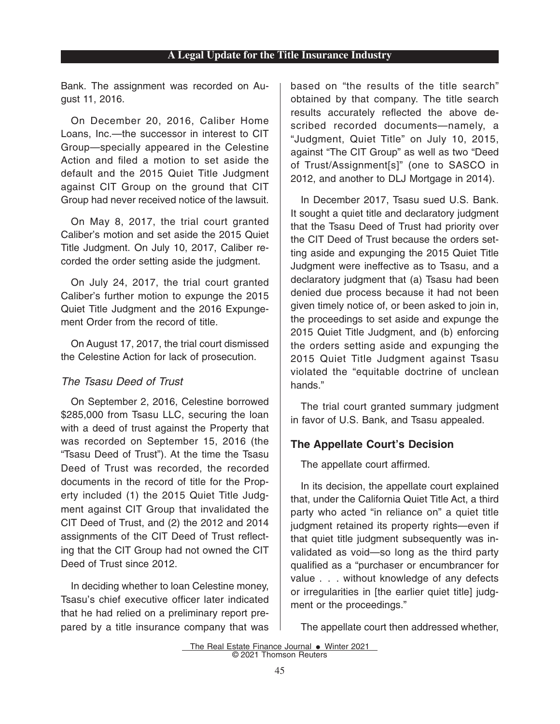Bank. The assignment was recorded on August 11, 2016.

On December 20, 2016, Caliber Home Loans, Inc.—the successor in interest to CIT Group—specially appeared in the Celestine Action and filed a motion to set aside the default and the 2015 Quiet Title Judgment against CIT Group on the ground that CIT Group had never received notice of the lawsuit.

On May 8, 2017, the trial court granted Caliber's motion and set aside the 2015 Quiet Title Judgment. On July 10, 2017, Caliber recorded the order setting aside the judgment.

On July 24, 2017, the trial court granted Caliber's further motion to expunge the 2015 Quiet Title Judgment and the 2016 Expungement Order from the record of title.

On August 17, 2017, the trial court dismissed the Celestine Action for lack of prosecution.

# The Tsasu Deed of Trust

On September 2, 2016, Celestine borrowed \$285,000 from Tsasu LLC, securing the loan with a deed of trust against the Property that was recorded on September 15, 2016 (the "Tsasu Deed of Trust"). At the time the Tsasu Deed of Trust was recorded, the recorded documents in the record of title for the Property included (1) the 2015 Quiet Title Judgment against CIT Group that invalidated the CIT Deed of Trust, and (2) the 2012 and 2014 assignments of the CIT Deed of Trust reflecting that the CIT Group had not owned the CIT Deed of Trust since 2012.

In deciding whether to loan Celestine money, Tsasu's chief executive officer later indicated that he had relied on a preliminary report prepared by a title insurance company that was based on "the results of the title search" obtained by that company. The title search results accurately reflected the above described recorded documents—namely, a "Judgment, Quiet Title" on July 10, 2015, against "The CIT Group" as well as two "Deed of Trust/Assignment[s]" (one to SASCO in 2012, and another to DLJ Mortgage in 2014).

In December 2017, Tsasu sued U.S. Bank. It sought a quiet title and declaratory judgment that the Tsasu Deed of Trust had priority over the CIT Deed of Trust because the orders setting aside and expunging the 2015 Quiet Title Judgment were ineffective as to Tsasu, and a declaratory judgment that (a) Tsasu had been denied due process because it had not been given timely notice of, or been asked to join in, the proceedings to set aside and expunge the 2015 Quiet Title Judgment, and (b) enforcing the orders setting aside and expunging the 2015 Quiet Title Judgment against Tsasu violated the "equitable doctrine of unclean hands."

The trial court granted summary judgment in favor of U.S. Bank, and Tsasu appealed.

# **The Appellate Court's Decision**

The appellate court affirmed.

In its decision, the appellate court explained that, under the California Quiet Title Act, a third party who acted "in reliance on" a quiet title judgment retained its property rights—even if that quiet title judgment subsequently was invalidated as void—so long as the third party qualified as a "purchaser or encumbrancer for value . . . without knowledge of any defects or irregularities in [the earlier quiet title] judgment or the proceedings."

The appellate court then addressed whether,

```
The Real Estate Finance Journal • Winter 2021
© 2021 Thomson Reuters
```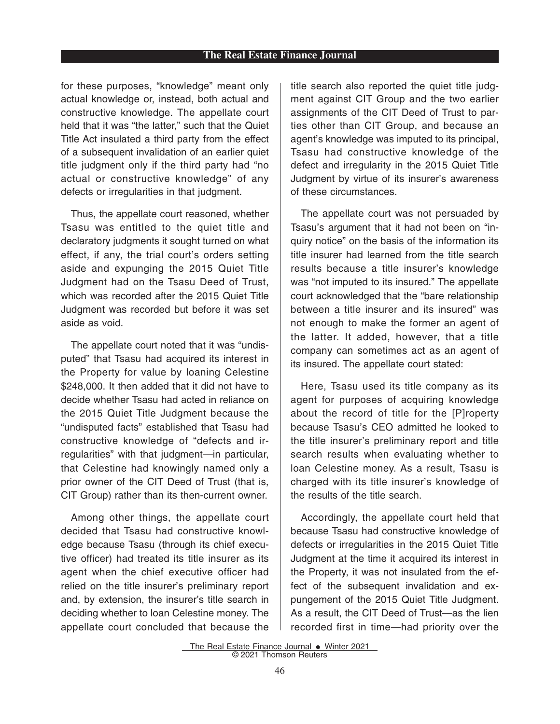for these purposes, "knowledge" meant only actual knowledge or, instead, both actual and constructive knowledge. The appellate court held that it was "the latter," such that the Quiet Title Act insulated a third party from the effect of a subsequent invalidation of an earlier quiet title judgment only if the third party had "no actual or constructive knowledge" of any defects or irregularities in that judgment.

Thus, the appellate court reasoned, whether Tsasu was entitled to the quiet title and declaratory judgments it sought turned on what effect, if any, the trial court's orders setting aside and expunging the 2015 Quiet Title Judgment had on the Tsasu Deed of Trust, which was recorded after the 2015 Quiet Title Judgment was recorded but before it was set aside as void.

The appellate court noted that it was "undisputed" that Tsasu had acquired its interest in the Property for value by loaning Celestine \$248,000. It then added that it did not have to decide whether Tsasu had acted in reliance on the 2015 Quiet Title Judgment because the "undisputed facts" established that Tsasu had constructive knowledge of "defects and irregularities" with that judgment—in particular, that Celestine had knowingly named only a prior owner of the CIT Deed of Trust (that is, CIT Group) rather than its then-current owner.

Among other things, the appellate court decided that Tsasu had constructive knowledge because Tsasu (through its chief executive officer) had treated its title insurer as its agent when the chief executive officer had relied on the title insurer's preliminary report and, by extension, the insurer's title search in deciding whether to loan Celestine money. The appellate court concluded that because the title search also reported the quiet title judgment against CIT Group and the two earlier assignments of the CIT Deed of Trust to parties other than CIT Group, and because an agent's knowledge was imputed to its principal, Tsasu had constructive knowledge of the defect and irregularity in the 2015 Quiet Title Judgment by virtue of its insurer's awareness of these circumstances.

The appellate court was not persuaded by Tsasu's argument that it had not been on "inquiry notice" on the basis of the information its title insurer had learned from the title search results because a title insurer's knowledge was "not imputed to its insured." The appellate court acknowledged that the "bare relationship between a title insurer and its insured" was not enough to make the former an agent of the latter. It added, however, that a title company can sometimes act as an agent of its insured. The appellate court stated:

Here, Tsasu used its title company as its agent for purposes of acquiring knowledge about the record of title for the [P]roperty because Tsasu's CEO admitted he looked to the title insurer's preliminary report and title search results when evaluating whether to loan Celestine money. As a result, Tsasu is charged with its title insurer's knowledge of the results of the title search.

Accordingly, the appellate court held that because Tsasu had constructive knowledge of defects or irregularities in the 2015 Quiet Title Judgment at the time it acquired its interest in the Property, it was not insulated from the effect of the subsequent invalidation and expungement of the 2015 Quiet Title Judgment. As a result, the CIT Deed of Trust—as the lien recorded first in time—had priority over the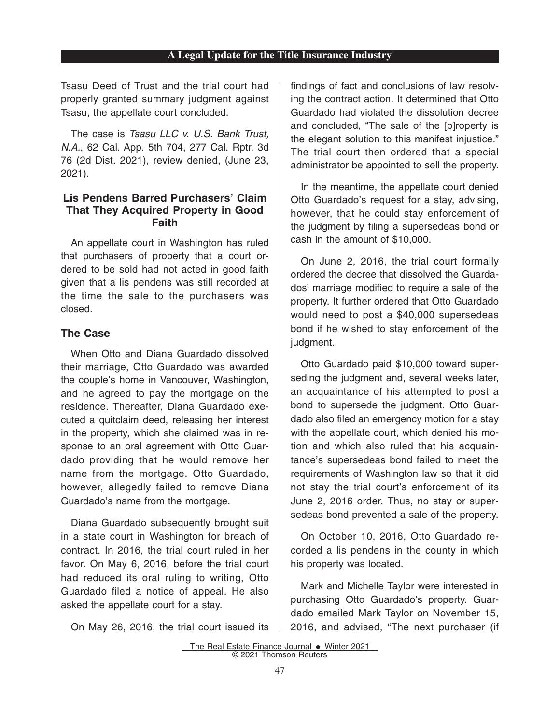Tsasu Deed of Trust and the trial court had properly granted summary judgment against Tsasu, the appellate court concluded.

The case is Tsasu LLC v. U.S. Bank Trust, N.A., 62 Cal. App. 5th 704, 277 Cal. Rptr. 3d 76 (2d Dist. 2021), review denied, (June 23, 2021).

# **Lis Pendens Barred Purchasers' Claim That They Acquired Property in Good Faith**

An appellate court in Washington has ruled that purchasers of property that a court ordered to be sold had not acted in good faith given that a lis pendens was still recorded at the time the sale to the purchasers was closed.

# **The Case**

When Otto and Diana Guardado dissolved their marriage, Otto Guardado was awarded the couple's home in Vancouver, Washington, and he agreed to pay the mortgage on the residence. Thereafter, Diana Guardado executed a quitclaim deed, releasing her interest in the property, which she claimed was in response to an oral agreement with Otto Guardado providing that he would remove her name from the mortgage. Otto Guardado, however, allegedly failed to remove Diana Guardado's name from the mortgage.

Diana Guardado subsequently brought suit in a state court in Washington for breach of contract. In 2016, the trial court ruled in her favor. On May 6, 2016, before the trial court had reduced its oral ruling to writing, Otto Guardado filed a notice of appeal. He also asked the appellate court for a stay.

On May 26, 2016, the trial court issued its

findings of fact and conclusions of law resolving the contract action. It determined that Otto Guardado had violated the dissolution decree and concluded, "The sale of the [p]roperty is the elegant solution to this manifest injustice." The trial court then ordered that a special administrator be appointed to sell the property.

In the meantime, the appellate court denied Otto Guardado's request for a stay, advising, however, that he could stay enforcement of the judgment by filing a supersedeas bond or cash in the amount of \$10,000.

On June 2, 2016, the trial court formally ordered the decree that dissolved the Guardados' marriage modified to require a sale of the property. It further ordered that Otto Guardado would need to post a \$40,000 supersedeas bond if he wished to stay enforcement of the judgment.

Otto Guardado paid \$10,000 toward superseding the judgment and, several weeks later, an acquaintance of his attempted to post a bond to supersede the judgment. Otto Guardado also filed an emergency motion for a stay with the appellate court, which denied his motion and which also ruled that his acquaintance's supersedeas bond failed to meet the requirements of Washington law so that it did not stay the trial court's enforcement of its June 2, 2016 order. Thus, no stay or supersedeas bond prevented a sale of the property.

On October 10, 2016, Otto Guardado recorded a lis pendens in the county in which his property was located.

Mark and Michelle Taylor were interested in purchasing Otto Guardado's property. Guardado emailed Mark Taylor on November 15, 2016, and advised, "The next purchaser (if

The Real Estate Finance Journal . Winter 2021 © 2021 Thomson Reuters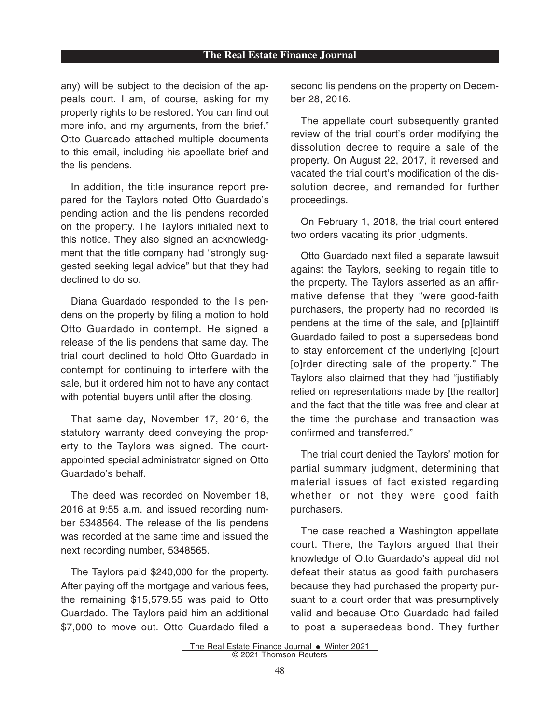#### **The Real Estate Finance Journal**

any) will be subject to the decision of the appeals court. I am, of course, asking for my property rights to be restored. You can find out more info, and my arguments, from the brief." Otto Guardado attached multiple documents to this email, including his appellate brief and the lis pendens.

In addition, the title insurance report prepared for the Taylors noted Otto Guardado's pending action and the lis pendens recorded on the property. The Taylors initialed next to this notice. They also signed an acknowledgment that the title company had "strongly suggested seeking legal advice" but that they had declined to do so.

Diana Guardado responded to the lis pendens on the property by filing a motion to hold Otto Guardado in contempt. He signed a release of the lis pendens that same day. The trial court declined to hold Otto Guardado in contempt for continuing to interfere with the sale, but it ordered him not to have any contact with potential buyers until after the closing.

That same day, November 17, 2016, the statutory warranty deed conveying the property to the Taylors was signed. The courtappointed special administrator signed on Otto Guardado's behalf.

The deed was recorded on November 18, 2016 at 9:55 a.m. and issued recording number 5348564. The release of the lis pendens was recorded at the same time and issued the next recording number, 5348565.

The Taylors paid \$240,000 for the property. After paying off the mortgage and various fees, the remaining \$15,579.55 was paid to Otto Guardado. The Taylors paid him an additional \$7,000 to move out. Otto Guardado filed a second lis pendens on the property on December 28, 2016.

The appellate court subsequently granted review of the trial court's order modifying the dissolution decree to require a sale of the property. On August 22, 2017, it reversed and vacated the trial court's modification of the dissolution decree, and remanded for further proceedings.

On February 1, 2018, the trial court entered two orders vacating its prior judgments.

Otto Guardado next filed a separate lawsuit against the Taylors, seeking to regain title to the property. The Taylors asserted as an affirmative defense that they "were good-faith purchasers, the property had no recorded lis pendens at the time of the sale, and [p]laintiff Guardado failed to post a supersedeas bond to stay enforcement of the underlying [c]ourt [o]rder directing sale of the property." The Taylors also claimed that they had "justifiably relied on representations made by [the realtor] and the fact that the title was free and clear at the time the purchase and transaction was confirmed and transferred."

The trial court denied the Taylors' motion for partial summary judgment, determining that material issues of fact existed regarding whether or not they were good faith purchasers.

The case reached a Washington appellate court. There, the Taylors argued that their knowledge of Otto Guardado's appeal did not defeat their status as good faith purchasers because they had purchased the property pursuant to a court order that was presumptively valid and because Otto Guardado had failed to post a supersedeas bond. They further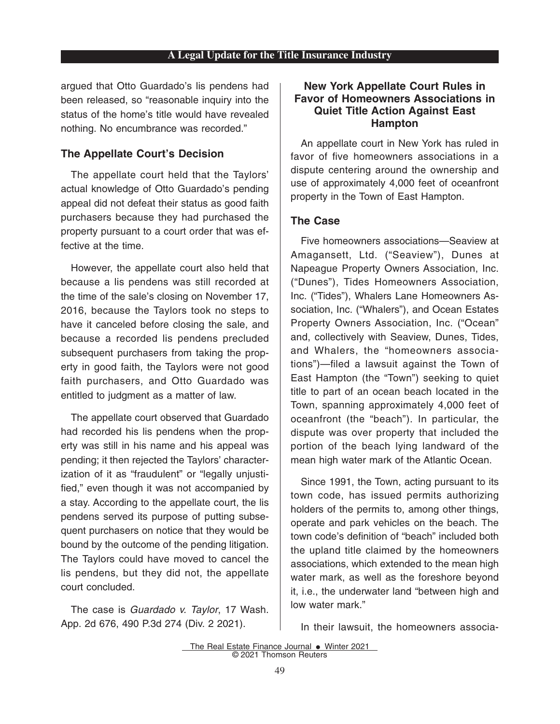argued that Otto Guardado's lis pendens had been released, so "reasonable inquiry into the status of the home's title would have revealed nothing. No encumbrance was recorded."

#### **The Appellate Court's Decision**

The appellate court held that the Taylors' actual knowledge of Otto Guardado's pending appeal did not defeat their status as good faith purchasers because they had purchased the property pursuant to a court order that was effective at the time.

However, the appellate court also held that because a lis pendens was still recorded at the time of the sale's closing on November 17, 2016, because the Taylors took no steps to have it canceled before closing the sale, and because a recorded lis pendens precluded subsequent purchasers from taking the property in good faith, the Taylors were not good faith purchasers, and Otto Guardado was entitled to judgment as a matter of law.

The appellate court observed that Guardado had recorded his lis pendens when the property was still in his name and his appeal was pending; it then rejected the Taylors' characterization of it as "fraudulent" or "legally unjustified," even though it was not accompanied by a stay. According to the appellate court, the lis pendens served its purpose of putting subsequent purchasers on notice that they would be bound by the outcome of the pending litigation. The Taylors could have moved to cancel the lis pendens, but they did not, the appellate court concluded.

The case is Guardado v. Taylor, 17 Wash. App. 2d 676, 490 P.3d 274 (Div. 2 2021).

# **New York Appellate Court Rules in Favor of Homeowners Associations in Quiet Title Action Against East Hampton**

An appellate court in New York has ruled in favor of five homeowners associations in a dispute centering around the ownership and use of approximately 4,000 feet of oceanfront property in the Town of East Hampton.

# **The Case**

Five homeowners associations—Seaview at Amagansett, Ltd. ("Seaview"), Dunes at Napeague Property Owners Association, Inc. ("Dunes"), Tides Homeowners Association, Inc. ("Tides"), Whalers Lane Homeowners Association, Inc. ("Whalers"), and Ocean Estates Property Owners Association, Inc. ("Ocean" and, collectively with Seaview, Dunes, Tides, and Whalers, the "homeowners associations")—filed a lawsuit against the Town of East Hampton (the "Town") seeking to quiet title to part of an ocean beach located in the Town, spanning approximately 4,000 feet of oceanfront (the "beach"). In particular, the dispute was over property that included the portion of the beach lying landward of the mean high water mark of the Atlantic Ocean.

Since 1991, the Town, acting pursuant to its town code, has issued permits authorizing holders of the permits to, among other things, operate and park vehicles on the beach. The town code's definition of "beach" included both the upland title claimed by the homeowners associations, which extended to the mean high water mark, as well as the foreshore beyond it, i.e., the underwater land "between high and low water mark."

In their lawsuit, the homeowners associa-

The Real Estate Finance Journal • Winter 2021 © 2021 Thomson Reuters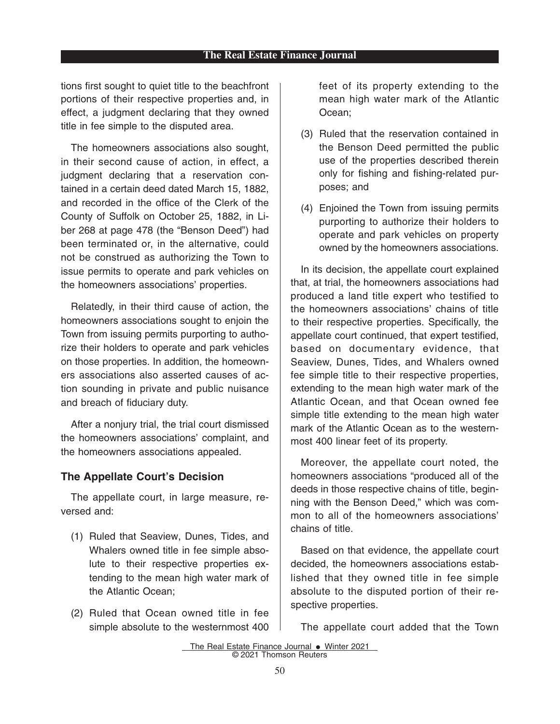tions first sought to quiet title to the beachfront portions of their respective properties and, in effect, a judgment declaring that they owned title in fee simple to the disputed area.

The homeowners associations also sought, in their second cause of action, in effect, a judgment declaring that a reservation contained in a certain deed dated March 15, 1882, and recorded in the office of the Clerk of the County of Suffolk on October 25, 1882, in Liber 268 at page 478 (the "Benson Deed") had been terminated or, in the alternative, could not be construed as authorizing the Town to issue permits to operate and park vehicles on the homeowners associations' properties.

Relatedly, in their third cause of action, the homeowners associations sought to enjoin the Town from issuing permits purporting to authorize their holders to operate and park vehicles on those properties. In addition, the homeowners associations also asserted causes of action sounding in private and public nuisance and breach of fiduciary duty.

After a nonjury trial, the trial court dismissed the homeowners associations' complaint, and the homeowners associations appealed.

#### **The Appellate Court's Decision**

The appellate court, in large measure, reversed and:

- (1) Ruled that Seaview, Dunes, Tides, and Whalers owned title in fee simple absolute to their respective properties extending to the mean high water mark of the Atlantic Ocean;
- (2) Ruled that Ocean owned title in fee simple absolute to the westernmost 400

feet of its property extending to the mean high water mark of the Atlantic Ocean;

- (3) Ruled that the reservation contained in the Benson Deed permitted the public use of the properties described therein only for fishing and fishing-related purposes; and
- (4) Enjoined the Town from issuing permits purporting to authorize their holders to operate and park vehicles on property owned by the homeowners associations.

In its decision, the appellate court explained that, at trial, the homeowners associations had produced a land title expert who testified to the homeowners associations' chains of title to their respective properties. Specifically, the appellate court continued, that expert testified, based on documentary evidence, that Seaview, Dunes, Tides, and Whalers owned fee simple title to their respective properties, extending to the mean high water mark of the Atlantic Ocean, and that Ocean owned fee simple title extending to the mean high water mark of the Atlantic Ocean as to the westernmost 400 linear feet of its property.

Moreover, the appellate court noted, the homeowners associations "produced all of the deeds in those respective chains of title, beginning with the Benson Deed," which was common to all of the homeowners associations' chains of title.

Based on that evidence, the appellate court decided, the homeowners associations established that they owned title in fee simple absolute to the disputed portion of their respective properties.

The appellate court added that the Town

The Real Estate Finance Journal • Winter 2021 © 2021 Thomson Reuters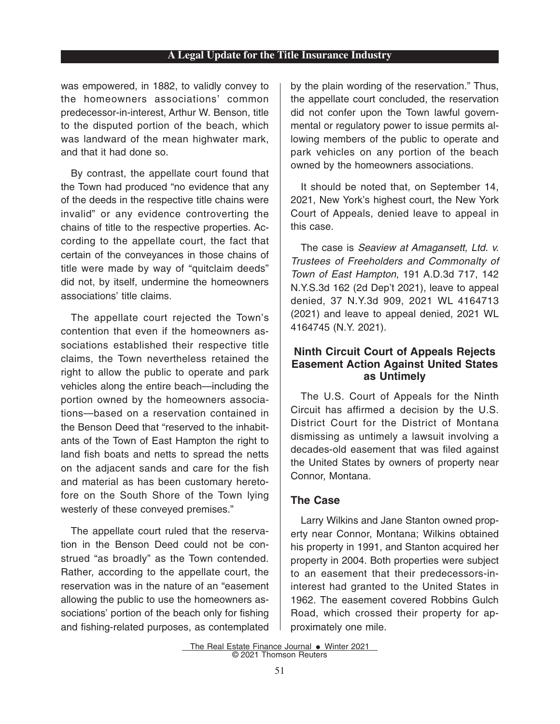was empowered, in 1882, to validly convey to the homeowners associations' common predecessor-in-interest, Arthur W. Benson, title to the disputed portion of the beach, which was landward of the mean highwater mark, and that it had done so.

By contrast, the appellate court found that the Town had produced "no evidence that any of the deeds in the respective title chains were invalid" or any evidence controverting the chains of title to the respective properties. According to the appellate court, the fact that certain of the conveyances in those chains of title were made by way of "quitclaim deeds" did not, by itself, undermine the homeowners associations' title claims.

The appellate court rejected the Town's contention that even if the homeowners associations established their respective title claims, the Town nevertheless retained the right to allow the public to operate and park vehicles along the entire beach—including the portion owned by the homeowners associations—based on a reservation contained in the Benson Deed that "reserved to the inhabitants of the Town of East Hampton the right to land fish boats and netts to spread the netts on the adjacent sands and care for the fish and material as has been customary heretofore on the South Shore of the Town lying westerly of these conveyed premises."

The appellate court ruled that the reservation in the Benson Deed could not be construed "as broadly" as the Town contended. Rather, according to the appellate court, the reservation was in the nature of an "easement allowing the public to use the homeowners associations' portion of the beach only for fishing and fishing-related purposes, as contemplated by the plain wording of the reservation." Thus, the appellate court concluded, the reservation did not confer upon the Town lawful governmental or regulatory power to issue permits allowing members of the public to operate and park vehicles on any portion of the beach owned by the homeowners associations.

It should be noted that, on September 14, 2021, New York's highest court, the New York Court of Appeals, denied leave to appeal in this case.

The case is Seaview at Amagansett, Ltd. v. Trustees of Freeholders and Commonalty of Town of East Hampton, 191 A.D.3d 717, 142 N.Y.S.3d 162 (2d Dep't 2021), leave to appeal denied, 37 N.Y.3d 909, 2021 WL 4164713 (2021) and leave to appeal denied, 2021 WL 4164745 (N.Y. 2021).

# **Ninth Circuit Court of Appeals Rejects Easement Action Against United States as Untimely**

The U.S. Court of Appeals for the Ninth Circuit has affirmed a decision by the U.S. District Court for the District of Montana dismissing as untimely a lawsuit involving a decades-old easement that was filed against the United States by owners of property near Connor, Montana.

# **The Case**

Larry Wilkins and Jane Stanton owned property near Connor, Montana; Wilkins obtained his property in 1991, and Stanton acquired her property in 2004. Both properties were subject to an easement that their predecessors-ininterest had granted to the United States in 1962. The easement covered Robbins Gulch Road, which crossed their property for approximately one mile.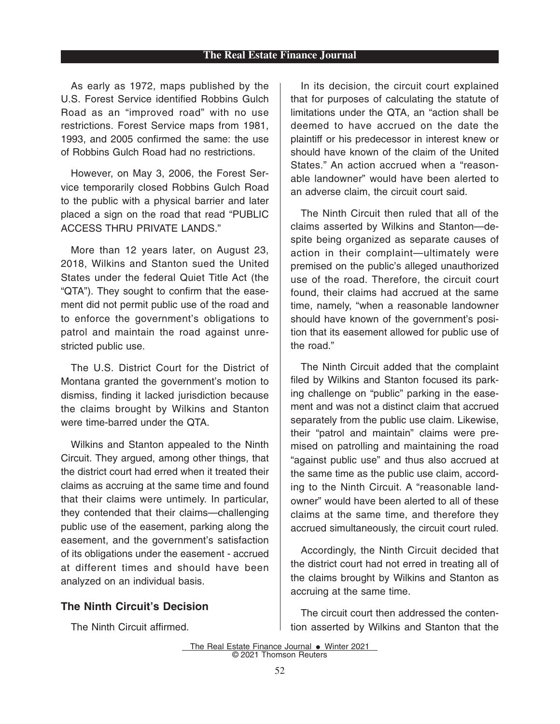#### **The Real Estate Finance Journal**

As early as 1972, maps published by the U.S. Forest Service identified Robbins Gulch Road as an "improved road" with no use restrictions. Forest Service maps from 1981, 1993, and 2005 confirmed the same: the use of Robbins Gulch Road had no restrictions.

However, on May 3, 2006, the Forest Service temporarily closed Robbins Gulch Road to the public with a physical barrier and later placed a sign on the road that read "PUBLIC ACCESS THRU PRIVATE LANDS."

More than 12 years later, on August 23, 2018, Wilkins and Stanton sued the United States under the federal Quiet Title Act (the "QTA"). They sought to confirm that the easement did not permit public use of the road and to enforce the government's obligations to patrol and maintain the road against unrestricted public use.

The U.S. District Court for the District of Montana granted the government's motion to dismiss, finding it lacked jurisdiction because the claims brought by Wilkins and Stanton were time-barred under the QTA.

Wilkins and Stanton appealed to the Ninth Circuit. They argued, among other things, that the district court had erred when it treated their claims as accruing at the same time and found that their claims were untimely. In particular, they contended that their claims—challenging public use of the easement, parking along the easement, and the government's satisfaction of its obligations under the easement - accrued at different times and should have been analyzed on an individual basis.

#### **The Ninth Circuit's Decision**

The Ninth Circuit affirmed.

In its decision, the circuit court explained that for purposes of calculating the statute of limitations under the QTA, an "action shall be deemed to have accrued on the date the plaintiff or his predecessor in interest knew or should have known of the claim of the United States." An action accrued when a "reasonable landowner" would have been alerted to an adverse claim, the circuit court said.

The Ninth Circuit then ruled that all of the claims asserted by Wilkins and Stanton—despite being organized as separate causes of action in their complaint—ultimately were premised on the public's alleged unauthorized use of the road. Therefore, the circuit court found, their claims had accrued at the same time, namely, "when a reasonable landowner should have known of the government's position that its easement allowed for public use of the road."

The Ninth Circuit added that the complaint filed by Wilkins and Stanton focused its parking challenge on "public" parking in the easement and was not a distinct claim that accrued separately from the public use claim. Likewise, their "patrol and maintain" claims were premised on patrolling and maintaining the road "against public use" and thus also accrued at the same time as the public use claim, according to the Ninth Circuit. A "reasonable landowner" would have been alerted to all of these claims at the same time, and therefore they accrued simultaneously, the circuit court ruled.

Accordingly, the Ninth Circuit decided that the district court had not erred in treating all of the claims brought by Wilkins and Stanton as accruing at the same time.

The circuit court then addressed the contention asserted by Wilkins and Stanton that the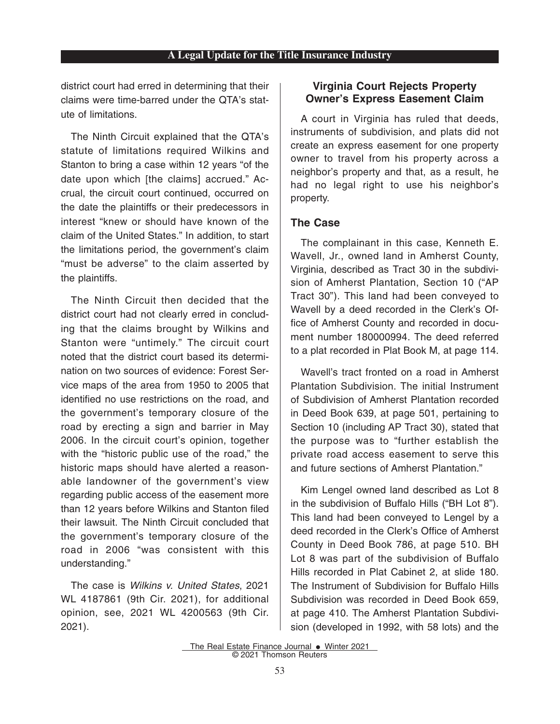district court had erred in determining that their claims were time-barred under the QTA's statute of limitations.

The Ninth Circuit explained that the QTA's statute of limitations required Wilkins and Stanton to bring a case within 12 years "of the date upon which [the claims] accrued." Accrual, the circuit court continued, occurred on the date the plaintiffs or their predecessors in interest "knew or should have known of the claim of the United States." In addition, to start the limitations period, the government's claim "must be adverse" to the claim asserted by the plaintiffs.

The Ninth Circuit then decided that the district court had not clearly erred in concluding that the claims brought by Wilkins and Stanton were "untimely." The circuit court noted that the district court based its determination on two sources of evidence: Forest Service maps of the area from 1950 to 2005 that identified no use restrictions on the road, and the government's temporary closure of the road by erecting a sign and barrier in May 2006. In the circuit court's opinion, together with the "historic public use of the road," the historic maps should have alerted a reasonable landowner of the government's view regarding public access of the easement more than 12 years before Wilkins and Stanton filed their lawsuit. The Ninth Circuit concluded that the government's temporary closure of the road in 2006 "was consistent with this understanding."

The case is Wilkins v. United States, 2021 WL 4187861 (9th Cir. 2021), for additional opinion, see, 2021 WL 4200563 (9th Cir. 2021).

## **Virginia Court Rejects Property Owner's Express Easement Claim**

A court in Virginia has ruled that deeds, instruments of subdivision, and plats did not create an express easement for one property owner to travel from his property across a neighbor's property and that, as a result, he had no legal right to use his neighbor's property.

## **The Case**

The complainant in this case, Kenneth E. Wavell, Jr., owned land in Amherst County, Virginia, described as Tract 30 in the subdivision of Amherst Plantation, Section 10 ("AP Tract 30"). This land had been conveyed to Wavell by a deed recorded in the Clerk's Office of Amherst County and recorded in document number 180000994. The deed referred to a plat recorded in Plat Book M, at page 114.

Wavell's tract fronted on a road in Amherst Plantation Subdivision. The initial Instrument of Subdivision of Amherst Plantation recorded in Deed Book 639, at page 501, pertaining to Section 10 (including AP Tract 30), stated that the purpose was to "further establish the private road access easement to serve this and future sections of Amherst Plantation."

Kim Lengel owned land described as Lot 8 in the subdivision of Buffalo Hills ("BH Lot 8"). This land had been conveyed to Lengel by a deed recorded in the Clerk's Office of Amherst County in Deed Book 786, at page 510. BH Lot 8 was part of the subdivision of Buffalo Hills recorded in Plat Cabinet 2, at slide 180. The Instrument of Subdivision for Buffalo Hills Subdivision was recorded in Deed Book 659, at page 410. The Amherst Plantation Subdivision (developed in 1992, with 58 lots) and the